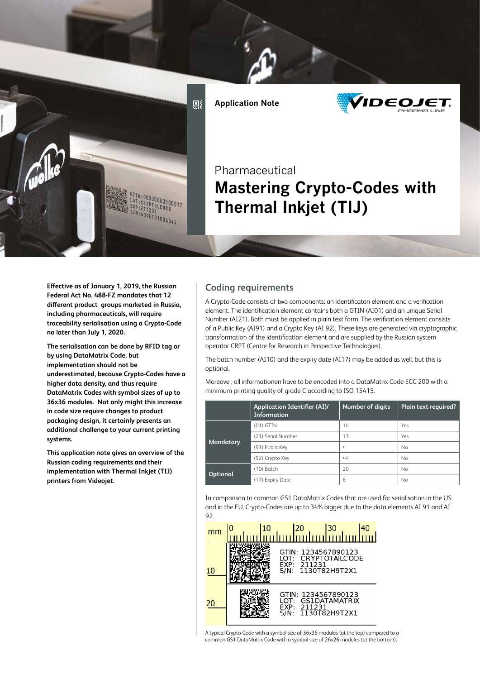

**Application Note**



# **Pharmaceutical Mastering Crypto-Codes with Thermal Inkjet (TIJ)**

**Effective as of January 1, 2019, the Russian Federal Act No. 488-FZ mandates that 12 different product groups marketed in Russia, including pharmaceuticals, will require traceability serialisation using a Crypto-Code no later than July 1, 2020.**

**The serialisation can be done by RFID tag or by using DataMatrix Code, but implementation should not be underestimated, because Crypto-Codes have a higher data density, and thus require DataMatrix Codes with symbol sizes of up to 36x36 modules. Not only might this increase in code size require changes to product packaging design, it certainly presents an additional challenge to your current printing systems.**

**This application note gives an overview of the Russian coding requirements and their implementation with Thermal Inkjet (TIJ) printers from Videojet.**

# **Coding requirements**

A Crypto-Code consists of two components: an identificaton element and a verification element. The identification element contains both a GTIN (AI01) and an unique Serial Number (AI21). Both must be applied in plain text form. The verification element consists of a Public Key (AI91) and a Crypto Key (AI 92). These keys are generated via cryptographic transformation of the identification element and are supplied by the Russian system operator CRPT (Centre for Research in Perspective Technologies).

The batch number (AI10) and the expiry date (AI17) may be added as well, but this is optional.

Moreover, all informationen have to be encoded into a DataMatrix Code ECC 200 with a minimum printing quality of grade C according to ISO 15415.

|                 | <b>Application Identifier (AI)/</b><br><b>Information</b> | Number of digits | Plain text required? |
|-----------------|-----------------------------------------------------------|------------------|----------------------|
| Mandatory       | $(01)$ GTIN                                               | 14               | Yes                  |
|                 | (21) Serial Number                                        | 13               | Yes                  |
|                 | (91) Public Key                                           | 4                | <b>No</b>            |
|                 | (92) Crypto Key                                           | 44               | <b>No</b>            |
| <b>Optional</b> | $(10)$ Batch                                              | 20               | <b>No</b>            |
|                 | (17) Expiry Date                                          | 6                | <b>No</b>            |

In comparison to common GS1 DataMatrix Codes that are used for serialisation in the US and in the EU, Crypto-Codes are up to 34% bigger due to the data elements AI 91 and AI 92.



A typical Crypto-Code with a symbol size of 36x36 modules (at the top) compared to a common GS1 DataMatrix Code with a symbol size of 26x26 modules (at the bottom).